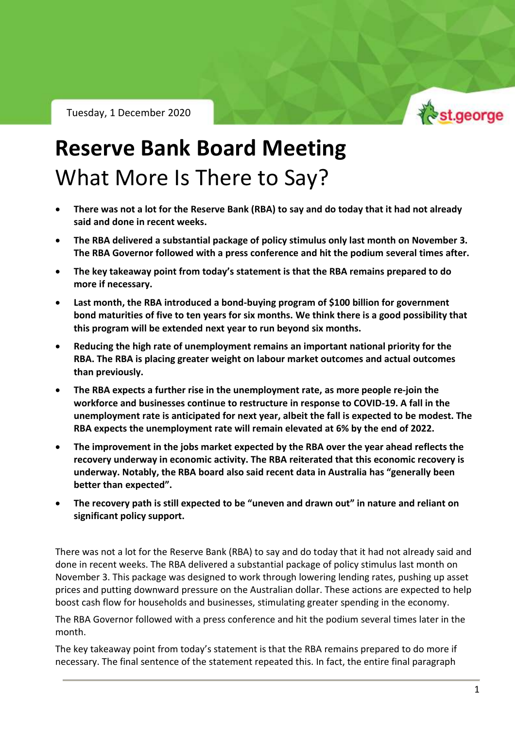Tuesday, 1 December 2020



RBA Policy Outlook – Tuesday 1 December 2020

## **Reserve Bank Board Meeting** What More Is There to Say?

- **There was not a lot for the Reserve Bank (RBA) to say and do today that it had not already said and done in recent weeks.**
- **The RBA delivered a substantial package of policy stimulus only last month on November 3. The RBA Governor followed with a press conference and hit the podium several times after.**
- **The key takeaway point from today's statement is that the RBA remains prepared to do more if necessary.**
- **Last month, the RBA introduced a bond-buying program of \$100 billion for government bond maturities of five to ten years for six months. We think there is a good possibility that this program will be extended next year to run beyond six months.**
- **Reducing the high rate of unemployment remains an important national priority for the RBA. The RBA is placing greater weight on labour market outcomes and actual outcomes than previously.**
- **The RBA expects a further rise in the unemployment rate, as more people re-join the workforce and businesses continue to restructure in response to COVID-19. A fall in the unemployment rate is anticipated for next year, albeit the fall is expected to be modest. The RBA expects the unemployment rate will remain elevated at 6% by the end of 2022.**
- **The improvement in the jobs market expected by the RBA over the year ahead reflects the recovery underway in economic activity. The RBA reiterated that this economic recovery is underway. Notably, the RBA board also said recent data in Australia has "generally been better than expected".**
- **The recovery path is still expected to be "uneven and drawn out" in nature and reliant on significant policy support.**

There was not a lot for the Reserve Bank (RBA) to say and do today that it had not already said and done in recent weeks. The RBA delivered a substantial package of policy stimulus last month on November 3. This package was designed to work through lowering lending rates, pushing up asset prices and putting downward pressure on the Australian dollar. These actions are expected to help boost cash flow for households and businesses, stimulating greater spending in the economy.

The RBA Governor followed with a press conference and hit the podium several times later in the month.

The key takeaway point from today's statement is that the RBA remains prepared to do more if necessary. The final sentence of the statement repeated this. In fact, the entire final paragraph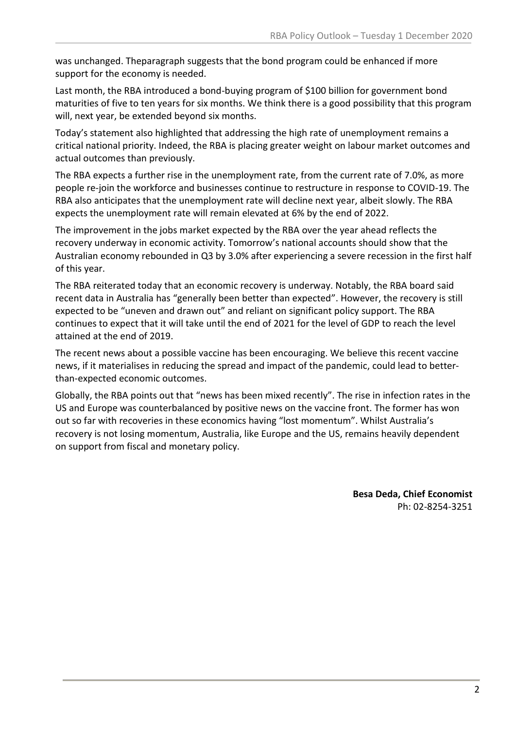was unchanged. Theparagraph suggests that the bond program could be enhanced if more support for the economy is needed.

Last month, the RBA introduced a bond-buying program of \$100 billion for government bond maturities of five to ten years for six months. We think there is a good possibility that this program will, next year, be extended beyond six months.

Today's statement also highlighted that addressing the high rate of unemployment remains a critical national priority. Indeed, the RBA is placing greater weight on labour market outcomes and actual outcomes than previously.

The RBA expects a further rise in the unemployment rate, from the current rate of 7.0%, as more people re-join the workforce and businesses continue to restructure in response to COVID-19. The RBA also anticipates that the unemployment rate will decline next year, albeit slowly. The RBA expects the unemployment rate will remain elevated at 6% by the end of 2022.

The improvement in the jobs market expected by the RBA over the year ahead reflects the recovery underway in economic activity. Tomorrow's national accounts should show that the Australian economy rebounded in Q3 by 3.0% after experiencing a severe recession in the first half of this year.

The RBA reiterated today that an economic recovery is underway. Notably, the RBA board said recent data in Australia has "generally been better than expected". However, the recovery is still expected to be "uneven and drawn out" and reliant on significant policy support. The RBA continues to expect that it will take until the end of 2021 for the level of GDP to reach the level attained at the end of 2019.

The recent news about a possible vaccine has been encouraging. We believe this recent vaccine news, if it materialises in reducing the spread and impact of the pandemic, could lead to betterthan-expected economic outcomes.

Globally, the RBA points out that "news has been mixed recently". The rise in infection rates in the US and Europe was counterbalanced by positive news on the vaccine front. The former has won out so far with recoveries in these economics having "lost momentum". Whilst Australia's recovery is not losing momentum, Australia, like Europe and the US, remains heavily dependent on support from fiscal and monetary policy.

> **Besa Deda, Chief Economist** Ph: 02-8254-3251